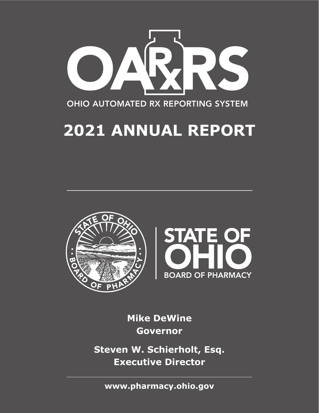

# **2021 ANNUAL REPORT**





**Mike DeWine Governor**

**Steven W. Schierholt, Esq. Executive Director**

**www.pharmacy.ohio.gov**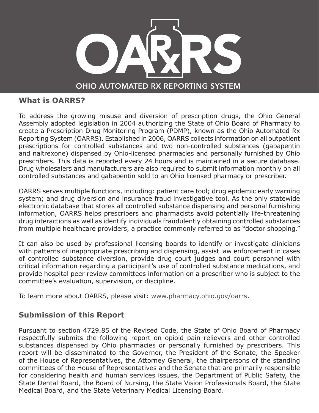

### **What is OARRS?**

To address the growing misuse and diversion of prescription drugs, the Ohio General Assembly adopted legislation in 2004 authorizing the State of Ohio Board of Pharmacy to create a Prescription Drug Monitoring Program (PDMP), known as the Ohio Automated Rx Reporting System (OARRS). Established in 2006, OARRS collects information on all outpatient prescriptions for controlled substances and two non-controlled substances (gabapentin and naltrexone) dispensed by Ohio-licensed pharmacies and personally furnished by Ohio prescribers. This data is reported every 24 hours and is maintained in a secure database. Drug wholesalers and manufacturers are also required to submit information monthly on all controlled substances and gabapentin sold to an Ohio licensed pharmacy or prescriber.

OARRS serves multiple functions, including: patient care tool; drug epidemic early warning system; and drug diversion and insurance fraud investigative tool. As the only statewide electronic database that stores all controlled substance dispensing and personal furnishing information, OARRS helps prescribers and pharmacists avoid potentially life-threatening drug interactions as well as identify individuals fraudulently obtaining controlled substances from multiple healthcare providers, a practice commonly referred to as "doctor shopping."

It can also be used by professional licensing boards to identify or investigate clinicians with patterns of inappropriate prescribing and dispensing, assist law enforcement in cases of controlled substance diversion, provide drug court judges and court personnel with critical information regarding a participant's use of controlled substance medications, and provide hospital peer review committees information on a prescriber who is subject to the committee's evaluation, supervision, or discipline.

To learn more about OARRS, please visit: www.pharmacy.ohio.gov/oarrs.

### **Submission of this Report**

Pursuant to section 4729.85 of the Revised Code, the State of Ohio Board of Pharmacy respectfully submits the following report on opioid pain relievers and other controlled substances dispensed by Ohio pharmacies or personally furnished by prescribers. This report will be disseminated to the Governor, the President of the Senate, the Speaker of the House of Representatives, the Attorney General, the chairpersons of the standing committees of the House of Representatives and the Senate that are primarily responsible for considering health and human services issues, the Department of Public Safety, the State Dental Board, the Board of Nursing, the State Vision Professionals Board, the State Medical Board, and the State Veterinary Medical Licensing Board.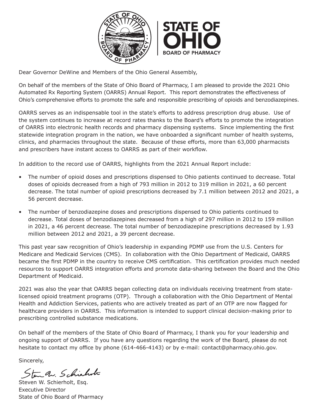

Dear Governor DeWine and Members of the Ohio General Assembly,

On behalf of the members of the State of Ohio Board of Pharmacy, I am pleased to provide the 2021 Ohio Automated Rx Reporting System (OARRS) Annual Report. This report demonstrates the effectiveness of Ohio's comprehensive efforts to promote the safe and responsible prescribing of opioids and benzodiazepines.

OARRS serves as an indispensable tool in the state's efforts to address prescription drug abuse. Use of the system continues to increase at record rates thanks to the Board's efforts to promote the integration of OARRS into electronic health records and pharmacy dispensing systems. Since implementing the first statewide integration program in the nation, we have onboarded a significant number of health systems, clinics, and pharmacies throughout the state. Because of these efforts, more than 63,000 pharmacists and prescribers have instant access to OARRS as part of their workflow.

In addition to the record use of OARRS, highlights from the 2021 Annual Report include:

- The number of opioid doses and prescriptions dispensed to Ohio patients continued to decrease. Total doses of opioids decreased from a high of 793 million in 2012 to 319 million in 2021, a 60 percent decrease. The total number of opioid prescriptions decreased by 7.1 million between 2012 and 2021, a 56 percent decrease.
- The number of benzodiazepine doses and prescriptions dispensed to Ohio patients continued to decrease. Total doses of benzodiazepines decreased from a high of 297 million in 2012 to 159 million in 2021, a 46 percent decrease. The total number of benzodiazepine prescriptions decreased by 1.93 million between 2012 and 2021, a 39 percent decrease.

This past year saw recognition of Ohio's leadership in expanding PDMP use from the U.S. Centers for Medicare and Medicaid Services (CMS). In collaboration with the Ohio Department of Medicaid, OARRS became the first PDMP in the country to receive CMS certification. This certification provides much needed resources to support OARRS integration efforts and promote data-sharing between the Board and the Ohio Department of Medicaid.

2021 was also the year that OARRS began collecting data on individuals receiving treatment from statelicensed opioid treatment programs (OTP). Through a collaboration with the Ohio Department of Mental Health and Addiction Services, patients who are actively treated as part of an OTP are now flagged for healthcare providers in OARRS. This information is intended to support clinical decision-making prior to prescribing controlled substance medications.

On behalf of the members of the State of Ohio Board of Pharmacy, I thank you for your leadership and ongoing support of OARRS. If you have any questions regarding the work of the Board, please do not hesitate to contact my office by phone (614-466-4143) or by e-mail: contact@pharmacy.ohio.gov.

Sincerely,

Stan N. Schichote

Steven W. Schierholt, Esq. Executive Director State of Ohio Board of Pharmacy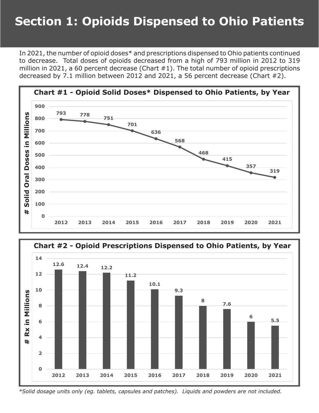# **Section 1: Opioids Dispensed to Ohio Patients**

In 2021, the number of opioid doses\* and prescriptions dispensed to Ohio patients continued to decrease. Total doses of opioids decreased from a high of 793 million in 2012 to 319 million in 2021, a 60 percent decrease (Chart #1). The total number of opioid prescriptions decreased by 7.1 million between 2012 and 2021, a 56 percent decrease (Chart #2).





*\*Solid dosage units only (eg. tablets, capsules and patches). Liquids and powders are not included.*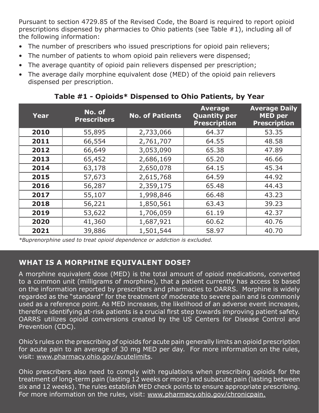Pursuant to section 4729.85 of the Revised Code, the Board is required to report opioid prescriptions dispensed by pharmacies to Ohio patients (see Table #1), including all of the following information:

- The number of prescribers who issued prescriptions for opioid pain relievers;
- The number of patients to whom opioid pain relievers were dispensed;
- The average quantity of opioid pain relievers dispensed per prescription;
- The average daily morphine equivalent dose (MED) of the opioid pain relievers dispensed per prescription.

| <b>Year</b> | No. of<br><b>Prescribers</b> | <b>No. of Patients</b> | <b>Average</b><br><b>Quantity per</b><br><b>Prescription</b> | <b>Average Daily</b><br><b>MED</b> per<br><b>Prescription</b> |
|-------------|------------------------------|------------------------|--------------------------------------------------------------|---------------------------------------------------------------|
| 2010        | 55,895                       | 2,733,066              | 64.37                                                        | 53.35                                                         |
| 2011        | 66,554                       | 2,761,707              | 64.55                                                        | 48.58                                                         |
| 2012        | 66,649                       | 3,053,090              | 65.38                                                        | 47.89                                                         |
| 2013        | 65,452                       | 2,686,169              | 65.20                                                        | 46.66                                                         |
| 2014        | 63,178                       | 2,650,078              | 64.15                                                        | 45.34                                                         |
| 2015        | 57,673                       | 2,615,768              | 64.59                                                        | 44.92                                                         |
| 2016        | 56,287                       | 2,359,175              | 65.48                                                        | 44.43                                                         |
| 2017        | 55,107                       | 1,998,846              | 66.48                                                        | 43.23                                                         |
| 2018        | 56,221                       | 1,850,561              | 63.43                                                        | 39.23                                                         |
| 2019        | 53,622                       | 1,706,059              | 61.19                                                        | 42.37                                                         |
| 2020        | 41,360                       | 1,687,921              | 60.62                                                        | 40.76                                                         |
| 2021        | 39,886                       | 1,501,544              | 58.97                                                        | 40.70                                                         |

**Table #1 - Opioids\* Dispensed to Ohio Patients, by Year**

*\*Buprenorphine used to treat opioid dependence or addiction is excluded.*

### **WHAT IS A MORPHINE EQUIVALENT DOSE?**

A morphine equivalent dose (MED) is the total amount of opioid medications, converted to a common unit (milligrams of morphine), that a patient currently has access to based on the information reported by prescribers and pharmacies to OARRS. Morphine is widely regarded as the "standard" for the treatment of moderate to severe pain and is commonly used as a reference point. As MED increases, the likelihood of an adverse event increases, therefore identifying at-risk patients is a crucial first step towards improving patient safety. OARRS utilizes opioid conversions created by the US Centers for Disease Control and Prevention (CDC).

Ohio's rules on the prescribing of opioids for acute pain generally limits an opioid prescription for acute pain to an average of 30 mg MED per day. For more information on the rules, visit: www.pharmacy.ohio.gov/acutelimits.

Ohio prescribers also need to comply with regulations when prescribing opioids for the treatment of long-term pain (lasting 12 weeks or more) and subacute pain (lasting between six and 12 weeks). The rules establish MED check points to ensure appropriate prescribing. For more information on the rules, visit: www.pharmacy.ohio.gov/chronicpain.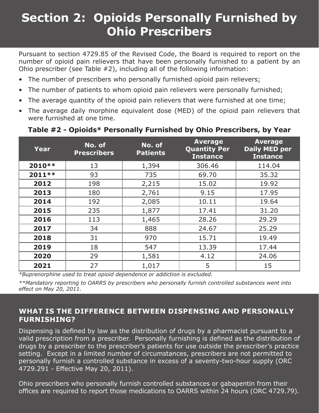# **Section 2: Opioids Personally Furnished by Ohio Prescribers**

Pursuant to section 4729.85 of the Revised Code, the Board is required to report on the number of opioid pain relievers that have been personally furnished to a patient by an Ohio prescriber (see Table #2), including all of the following information:

- The number of prescribers who personally furnished opioid pain relievers;
- The number of patients to whom opioid pain relievers were personally furnished;
- The average quantity of the opioid pain relievers that were furnished at one time;
- The average daily morphine equivalent dose (MED) of the opioid pain relievers that were furnished at one time.

| <b>Year</b> | No. of<br><b>Prescribers</b> | No. of<br><b>Patients</b> | <b>Average</b><br><b>Quantity Per</b><br><b>Instance</b> | <b>Average</b><br><b>Daily MED per</b><br><b>Instance</b> |
|-------------|------------------------------|---------------------------|----------------------------------------------------------|-----------------------------------------------------------|
| 2010 **     | 13                           | 1,394                     | 306.46                                                   | 114.04                                                    |
| 2011 **     | 93                           | 735                       | 69.70                                                    | 35.32                                                     |
| 2012        | 198                          | 2,215                     | 15.02                                                    | 19.92                                                     |
| 2013        | 180                          | 2,761                     | 9.15                                                     | 17.95                                                     |
| 2014        | 192                          | 2,085                     | 10.11                                                    | 19.64                                                     |
| 2015        | 235                          | 1,877                     | 17.41                                                    | 31.20                                                     |
| 2016        | 113                          | 1,465                     | 28.26                                                    | 29.29                                                     |
| 2017        | 34                           | 888                       | 24.67                                                    | 25.29                                                     |
| 2018        | 31                           | 970                       | 15.71                                                    | 19.49                                                     |
| 2019        | 18                           | 547                       | 13.39                                                    | 17.44                                                     |
| 2020        | 29                           | 1,581                     | 4.12                                                     | 24.06                                                     |
| 2021        | 27                           | 1,017                     | 5                                                        | 15                                                        |

#### **Table #2 - Opioids\* Personally Furnished by Ohio Prescribers, by Year**

*\*Buprenorphine used to treat opioid dependence or addiction is excluded.*

*\*\*Mandatory reporting to OARRS by prescribers who personally furnish controlled substances went into effect on May 20, 2011.*

#### **WHAT IS THE DIFFERENCE BETWEEN DISPENSING AND PERSONALLY FURNISHING?**

Dispensing is defined by law as the distribution of drugs by a pharmacist pursuant to a valid prescription from a prescriber. Personally furnishing is defined as the distribution of drugs by a prescriber to the prescriber's patients for use outside the prescriber's practice setting. Except in a limited number of circumstances, prescribers are not permitted to personally furnish a controlled substance in excess of a seventy-two-hour supply (ORC 4729.291 - Effective May 20, 2011).

Ohio prescribers who personally furnish controlled substances or gabapentin from their offices are required to report those medications to OARRS within 24 hours (ORC 4729.79).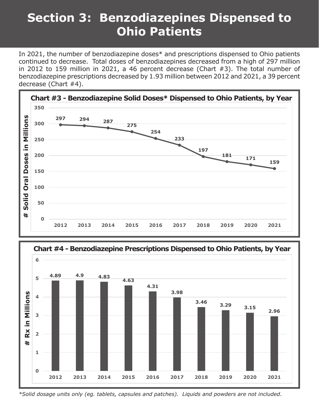# **Section 3: Benzodiazepines Dispensed to Ohio Patients**

In 2021, the number of benzodiazepine doses\* and prescriptions dispensed to Ohio patients continued to decrease. Total doses of benzodiazepines decreased from a high of 297 million in 2012 to 159 million in 2021, a 46 percent decrease (Chart #3). The total number of benzodiazepine prescriptions decreased by 1.93 million between 2012 and 2021, a 39 percent decrease (Chart #4).





*\*Solid dosage units only (eg. tablets, capsules and patches). Liquids and powders are not included.*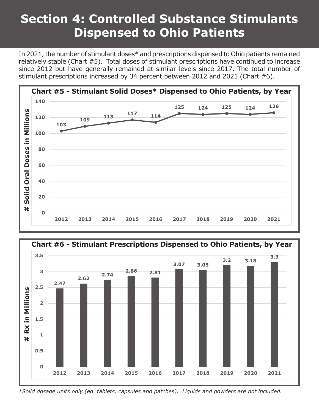# **Section 4: Controlled Substance Stimulants Dispensed to Ohio Patients**

In 2021, the number of stimulant doses\* and prescriptions dispensed to Ohio patients remained relatively stable (Chart #5). Total doses of stimulant prescriptions have continued to increase since 2012 but have generally remained at similar levels since 2017. The total number of stimulant prescriptions increased by 34 percent between 2012 and 2021 (Chart #6).





*\*Solid dosage units only (eg. tablets, capsules and patches). Liquids and powders are not included.*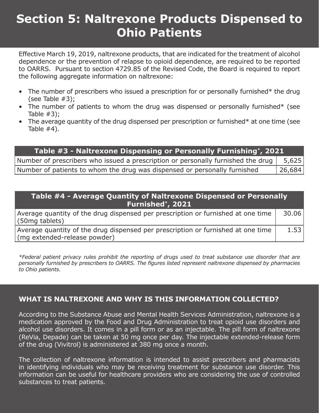# **Section 5: Naltrexone Products Dispensed to Ohio Patients**

Effective March 19, 2019, naltrexone products, that are indicated for the treatment of alcohol dependence or the prevention of relapse to opioid dependence, are required to be reported to OARRS. Pursuant to section 4729.85 of the Revised Code, the Board is required to report the following aggregate information on naltrexone:

- The number of prescribers who issued a prescription for or personally furnished\* the drug (see Table #3);
- The number of patients to whom the drug was dispensed or personally furnished\* (see Table  $#3$ );
- The average quantity of the drug dispensed per prescription or furnished\* at one time (see Table  $#4$ ).

| Table #3 - Naltrexone Dispensing or Personally Furnishing*, 2021                     |        |
|--------------------------------------------------------------------------------------|--------|
| Number of prescribers who issued a prescription or personally furnished the drug $ $ | 5,625  |
| Number of patients to whom the drug was dispensed or personally furnished            | 26,684 |

| Table #4 - Average Quantity of Naltrexone Dispensed or Personally<br>Furnished*, 2021                            |       |  |  |
|------------------------------------------------------------------------------------------------------------------|-------|--|--|
| Average quantity of the drug dispensed per prescription or furnished at one time<br>(50mg tablets)               | 30.06 |  |  |
| Average quantity of the drug dispensed per prescription or furnished at one time<br>(mg extended-release powder) | 1.53  |  |  |
|                                                                                                                  |       |  |  |

*\*Federal patient privacy rules prohibit the reporting of drugs used to treat substance use disorder that are personally furnished by prescribers to OARRS. The figures listed represent naltrexone dispensed by pharmacies to Ohio patients.*

### **WHAT IS NALTREXONE AND WHY IS THIS INFORMATION COLLECTED?**

According to the Substance Abuse and Mental Health Services Administration, naltrexone is a medication approved by the Food and Drug Administration to treat opioid use disorders and alcohol use disorders. It comes in a pill form or as an injectable. The pill form of naltrexone (ReVia, Depade) can be taken at 50 mg once per day. The injectable extended-release form of the drug (Vivitrol) is administered at 380 mg once a month.

The collection of naltrexone information is intended to assist prescribers and pharmacists in identifying individuals who may be receiving treatment for substance use disorder. This information can be useful for healthcare providers who are considering the use of controlled substances to treat patients.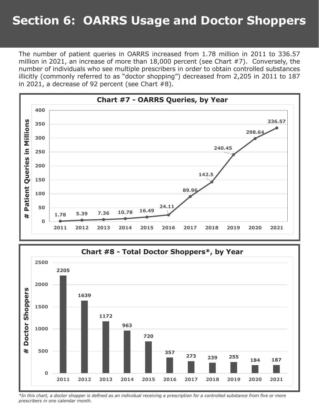## **Section 6: OARRS Usage and Doctor Shoppers**

The number of patient queries in OARRS increased from 1.78 million in 2011 to 336.57 million in 2021, an increase of more than 18,000 percent (see Chart #7). Conversely, the number of individuals who see multiple prescribers in order to obtain controlled substances illicitly (commonly referred to as "doctor shopping") decreased from 2,205 in 2011 to 187 in 2021, a decrease of 92 percent (see Chart #8).





*\*In this chart, a doctor shopper is defined as an individual receiving a prescription for a controlled substance from five or more prescribers in one calendar month.*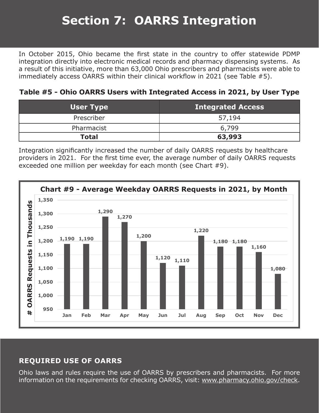# **Section 7: OARRS Integration**

In October 2015, Ohio became the first state in the country to offer statewide PDMP integration directly into electronic medical records and pharmacy dispensing systems. As a result of this initiative, more than 63,000 Ohio prescribers and pharmacists were able to immediately access OARRS within their clinical workflow in 2021 (see Table #5).

### **Table #5 - Ohio OARRS Users with Integrated Access in 2021, by User Type**

| <b>User Type</b> | <b>Integrated Access</b> |
|------------------|--------------------------|
| Prescriber       | 57,194                   |
| Pharmacist       | 6,799                    |
| <b>Total</b>     | 63,993                   |

Integration significantly increased the number of daily OARRS requests by healthcare providers in 2021. For the first time ever, the average number of daily OARRS requests exceeded one million per weekday for each month (see Chart #9).



### **REQUIRED USE OF OARRS**

Ohio laws and rules require the use of OARRS by prescribers and pharmacists. For more information on the requirements for checking OARRS, visit: www.pharmacy.ohio.gov/check.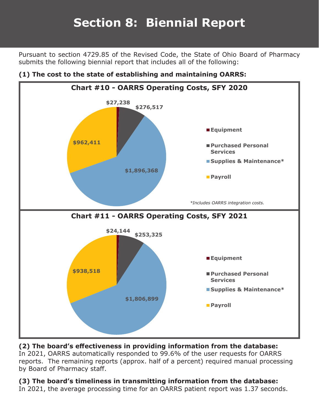# **Section 8: Biennial Report**

Pursuant to section 4729.85 of the Revised Code, the State of Ohio Board of Pharmacy submits the following biennial report that includes all of the following:



### **(1) The cost to the state of establishing and maintaining OARRS:**

### **(2) The board's effectiveness in providing information from the database:**

In 2021, OARRS automatically responded to 99.6% of the user requests for OARRS reports. The remaining reports (approx. half of a percent) required manual processing by Board of Pharmacy staff.

#### **(3) The board's timeliness in transmitting information from the database:**

In 2021, the average processing time for an OARRS patient report was 1.37 seconds.